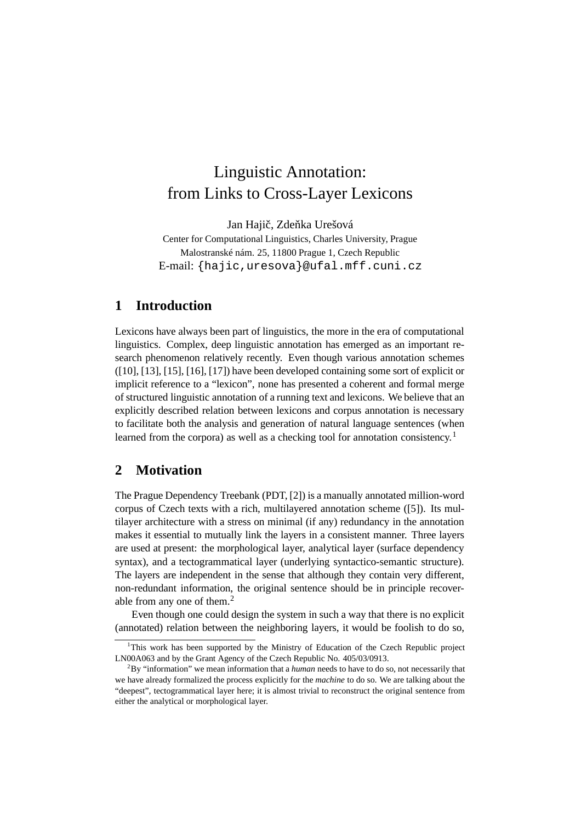# Linguistic Annotation: from Links to Cross-Layer Lexicons

Jan Hajič, Zdeňka Urešová

Center for Computational Linguistics, Charles University, Prague Malostranské nám. 25, 11800 Prague 1, Czech Republic E-mail: {hajic,uresova}@ufal.mff.cuni.cz

## **1 Introduction**

Lexicons have always been part of linguistics, the more in the era of computational linguistics. Complex, deep linguistic annotation has emerged as an important research phenomenon relatively recently. Even though various annotation schemes ([10], [13], [15], [16], [17]) have been developed containing some sort of explicit or implicit reference to a "lexicon", none has presented a coherent and formal merge of structured linguistic annotation of a running text and lexicons. We believe that an explicitly described relation between lexicons and corpus annotation is necessary to facilitate both the analysis and generation of natural language sentences (when learned from the corpora) as well as a checking tool for annotation consistency.<sup>1</sup>

#### **2 Motivation**

The Prague Dependency Treebank (PDT, [2]) is a manually annotated million-word corpus of Czech texts with a rich, multilayered annotation scheme ([5]). Its multilayer architecture with a stress on minimal (if any) redundancy in the annotation makes it essential to mutually link the layers in a consistent manner. Three layers are used at present: the morphological layer, analytical layer (surface dependency syntax), and a tectogrammatical layer (underlying syntactico-semantic structure). The layers are independent in the sense that although they contain very different, non-redundant information, the original sentence should be in principle recoverable from any one of them.<sup>2</sup>

Even though one could design the system in such a way that there is no explicit (annotated) relation between the neighboring layers, it would be foolish to do so,

<sup>1</sup>This work has been supported by the Ministry of Education of the Czech Republic project LN00A063 and by the Grant Agency of the Czech Republic No. 405/03/0913.

<sup>2</sup>By "information" we mean information that a *human* needs to have to do so, not necessarily that we have already formalized the process explicitly for the *machine* to do so. We are talking about the "deepest", tectogrammatical layer here; it is almost trivial to reconstruct the original sentence from either the analytical or morphological layer.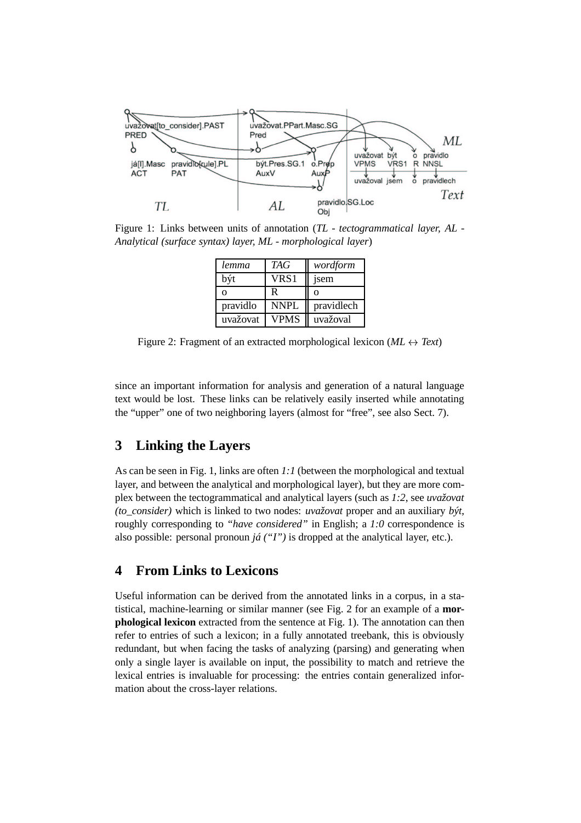

Figure 1: Links between units of annotation (*TL - tectogrammatical layer, AL - Analytical (surface syntax) layer, ML - morphological layer*)

| lemma    | <b>TAG</b> | wordform   |
|----------|------------|------------|
| být      | VRS1       | jsem       |
| O        | R          | Ω          |
| pravidlo | NNPL       | pravidlech |
| uvažovat | VPMS       | uvažoval   |

Figure 2: Fragment of an extracted morphological lexicon (*ML Text*)

since an important information for analysis and generation of a natural language text would be lost. These links can be relatively easily inserted while annotating the "upper" one of two neighboring layers (almost for "free", see also Sect. 7).

# **3 Linking the Layers**

As can be seen in Fig. 1, links are often *1:1* (between the morphological and textual layer, and between the analytical and morphological layer), but they are more complex between the tectogrammatical and analytical layers (such as *1:2*, see *uvažovat (to\_consider)* which is linked to two nodes: *uvažovat* proper and an auxiliary *být*, roughly corresponding to *"have considered"* in English; a *1:0* correspondence is also possible: personal pronoun *já ("I")* is dropped at the analytical layer, etc.).

### **4 From Links to Lexicons**

Useful information can be derived from the annotated links in a corpus, in a statistical, machine-learning or similar manner (see Fig. 2 for an example of a **morphological lexicon** extracted from the sentence at Fig. 1). The annotation can then refer to entries of such a lexicon; in a fully annotated treebank, this is obviously redundant, but when facing the tasks of analyzing (parsing) and generating when only a single layer is available on input, the possibility to match and retrieve the lexical entries is invaluable for processing: the entries contain generalized information about the cross-layer relations.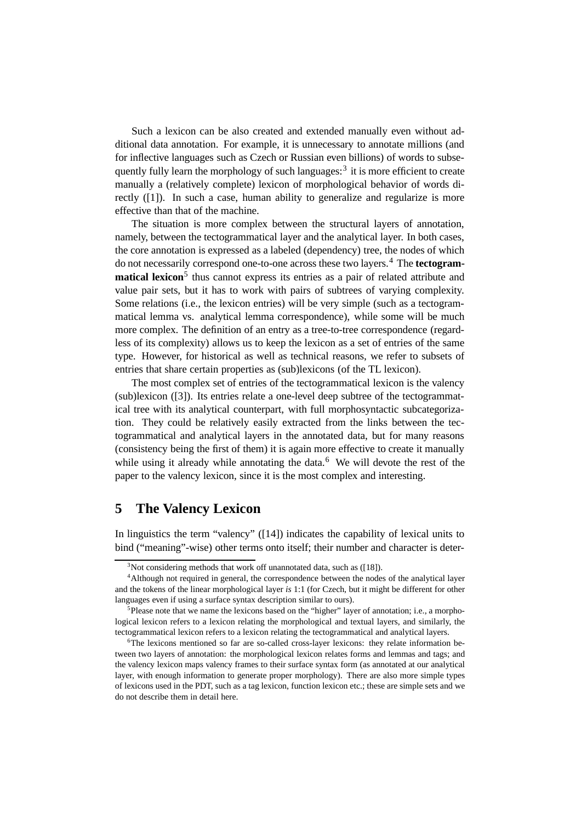Such a lexicon can be also created and extended manually even without additional data annotation. For example, it is unnecessary to annotate millions (and for inflective languages such as Czech or Russian even billions) of words to subsequently fully learn the morphology of such languages:<sup>3</sup> it is more efficient to create manually a (relatively complete) lexicon of morphological behavior of words directly ([1]). In such a case, human ability to generalize and regularize is more effective than that of the machine.

The situation is more complex between the structural layers of annotation, namely, between the tectogrammatical layer and the analytical layer. In both cases, the core annotation is expressed as a labeled (dependency) tree, the nodes of which do not necessarily correspond one-to-one across these two layers.<sup>4</sup> The **tectogrammatical lexicon**<sup>5</sup> thus cannot express its entries as a pair of related attribute and value pair sets, but it has to work with pairs of subtrees of varying complexity. Some relations (i.e., the lexicon entries) will be very simple (such as a tectogrammatical lemma vs. analytical lemma correspondence), while some will be much more complex. The definition of an entry as a tree-to-tree correspondence (regardless of its complexity) allows us to keep the lexicon as a set of entries of the same type. However, for historical as well as technical reasons, we refer to subsets of entries that share certain properties as (sub)lexicons (of the TL lexicon).

The most complex set of entries of the tectogrammatical lexicon is the valency (sub)lexicon ([3]). Its entries relate a one-level deep subtree of the tectogrammatical tree with its analytical counterpart, with full morphosyntactic subcategorization. They could be relatively easily extracted from the links between the tectogrammatical and analytical layers in the annotated data, but for many reasons (consistency being the first of them) it is again more effective to create it manually while using it already while annotating the data. $6\,$  We will devote the rest of the paper to the valency lexicon, since it is the most complex and interesting.

## **5 The Valency Lexicon**

In linguistics the term "valency" ([14]) indicates the capability of lexical units to bind ("meaning"-wise) other terms onto itself; their number and character is deter-

 $3$ Not considering methods that work off unannotated data, such as ([18]).

<sup>&</sup>lt;sup>4</sup>Although not required in general, the correspondence between the nodes of the analytical layer and the tokens of the linear morphological layer *is* 1:1 (for Czech, but it might be different for other languages even if using a surface syntax description similar to ours).

<sup>&</sup>lt;sup>5</sup>Please note that we name the lexicons based on the "higher" layer of annotation; i.e., a morphological lexicon refers to a lexicon relating the morphological and textual layers, and similarly, the tectogrammatical lexicon refers to a lexicon relating the tectogrammatical and analytical layers.

<sup>&</sup>lt;sup>6</sup>The lexicons mentioned so far are so-called cross-layer lexicons: they relate information between two layers of annotation: the morphological lexicon relates forms and lemmas and tags; and the valency lexicon maps valency frames to their surface syntax form (as annotated at our analytical layer, with enough information to generate proper morphology). There are also more simple types of lexicons used in the PDT, such as a tag lexicon, function lexicon etc.; these are simple sets and we do not describe them in detail here.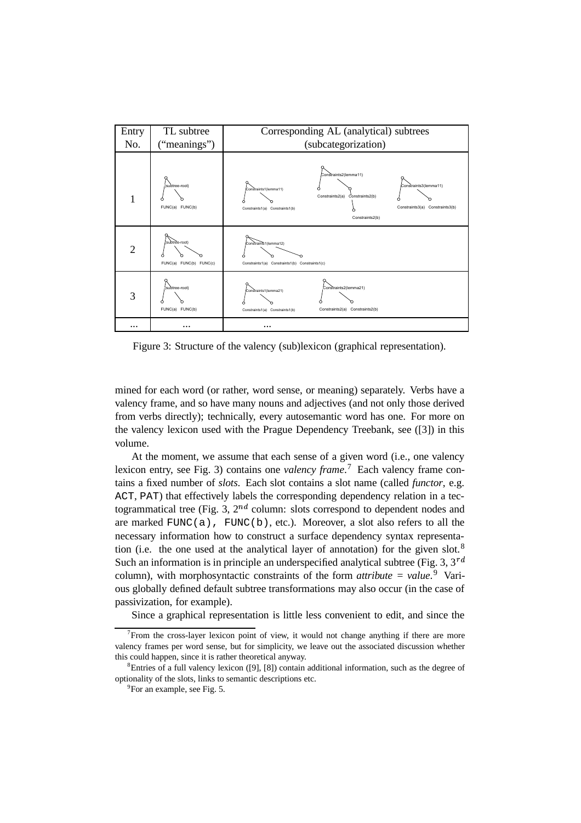

Figure 3: Structure of the valency (sub)lexicon (graphical representation).

mined for each word (or rather, word sense, or meaning) separately. Verbs have a valency frame, and so have many nouns and adjectives (and not only those derived from verbs directly); technically, every autosemantic word has one. For more on the valency lexicon used with the Prague Dependency Treebank, see ([3]) in this volume.

At the moment, we assume that each sense of a given word (i.e., one valency lexicon entry, see Fig. 3) contains one *valency frame*. <sup>7</sup> Each valency frame contains a fixed number of *slots*. Each slot contains a slot name (called *functor*, e.g. ACT, PAT) that effectively labels the corresponding dependency relation in a tectogrammatical tree (Fig. 3,  $2^{nd}$  column: slots correspond to dependent nodes and are marked  $FUNC(a)$ ,  $FUNC(b)$ , etc.). Moreover, a slot also refers to all the necessary information how to construct a surface dependency syntax representation (i.e. the one used at the analytical layer of annotation) for the given slot.<sup>8</sup> Such an information is in principle an underspecified analytical subtree (Fig. 3,  $3^{rd}$ ) column), with morphosyntactic constraints of the form *attribute = value*. <sup>9</sup> Various globally defined default subtree transformations may also occur (in the case of passivization, for example).

Since a graphical representation is little less convenient to edit, and since the

 $7$ From the cross-layer lexicon point of view, it would not change anything if there are more valency frames per word sense, but for simplicity, we leave out the associated discussion whether this could happen, since it is rather theoretical anyway.

 ${}^{8}$ Entries of a full valency lexicon ([9], [8]) contain additional information, such as the degree of optionality of the slots, links to semantic descriptions etc.

<sup>&</sup>lt;sup>9</sup>For an example, see Fig. 5.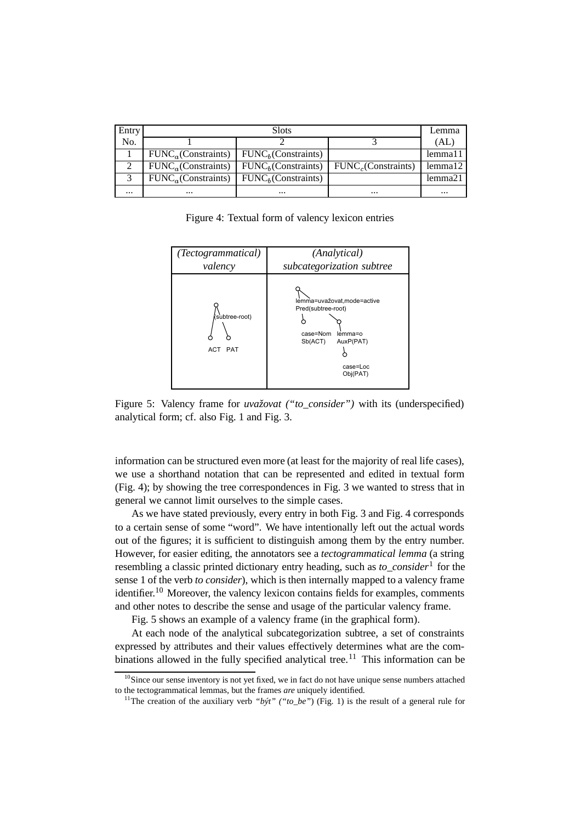| Entry    | <b>Slots</b>                    |                                 |                    |                      |
|----------|---------------------------------|---------------------------------|--------------------|----------------------|
| No.      |                                 |                                 |                    | (AL)                 |
|          | FUNC <sub>a</sub> (Constraints) | FUNC <sub>h</sub> (Constraints) |                    | lemma <sub>1</sub> 1 |
|          | FUNC <sub>a</sub> (Constraints) | FUNC <sub>b</sub> (Constraints) | FUNC (Constraints) | lemma <sub>12</sub>  |
|          | FUNC <sub>a</sub> (Constraints) | FUNC <sub>b</sub> (Constraints) |                    | lemma21              |
| $\cdots$ | $\cdots$                        | $\cdots$                        | $\cdots$           | $\cdots$             |

Figure 4: Textual form of valency lexicon entries



Figure 5: Valency frame for *uvažovat ("to\_consider")* with its (underspecified) analytical form; cf. also Fig. 1 and Fig. 3.

information can be structured even more (at least for the majority of real life cases), we use a shorthand notation that can be represented and edited in textual form (Fig. 4); by showing the tree correspondences in Fig. 3 we wanted to stress that in general we cannot limit ourselves to the simple cases.

As we have stated previously, every entry in both Fig. 3 and Fig. 4 corresponds to a certain sense of some "word". We have intentionally left out the actual words out of the figures; it is sufficient to distinguish among them by the entry number. However, for easier editing, the annotators see a *tectogrammatical lemma* (a string resembling a classic printed dictionary entry heading, such as *to\_consider*<sup>1</sup> for the sense 1 of the verb *to consider*), which is then internally mapped to a valency frame identifier.<sup>10</sup> Moreover, the valency lexicon contains fields for examples, comments and other notes to describe the sense and usage of the particular valency frame.

Fig. 5 shows an example of a valency frame (in the graphical form).

At each node of the analytical subcategorization subtree, a set of constraints expressed by attributes and their values effectively determines what are the combinations allowed in the fully specified analytical tree.<sup>11</sup> This information can be

 $10$ Since our sense inventory is not yet fixed, we in fact do not have unique sense numbers attached to the tectogrammatical lemmas, but the frames *are* uniquely identified.

<sup>11</sup>The creation of the auxiliary verb *"být" ("to\_be"*) (Fig. 1) is the result of a general rule for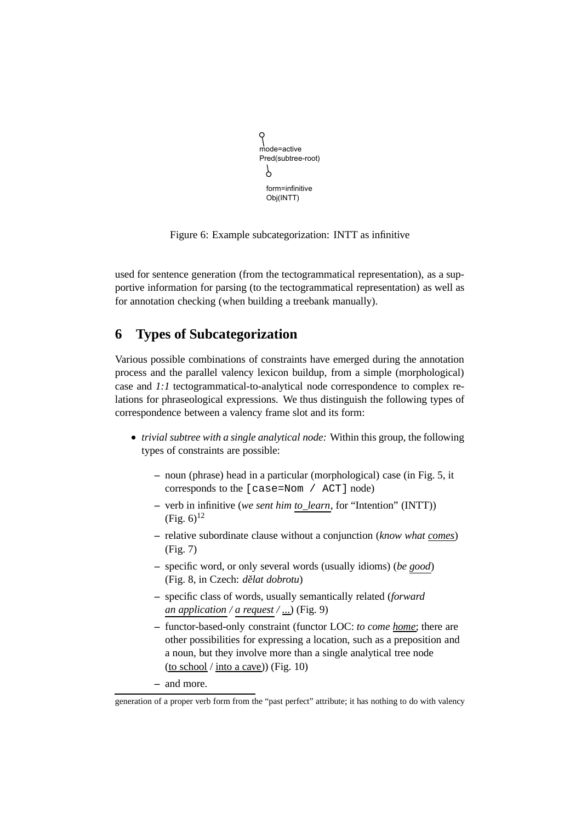```
mode=active
Pred(subtree-root)
 \gammaform=infinitive
  Obj(INTT)
```
Figure 6: Example subcategorization: INTT as infinitive

used for sentence generation (from the tectogrammatical representation), as a supportive information for parsing (to the tectogrammatical representation) as well as for annotation checking (when building a treebank manually).

# **6 Types of Subcategorization**

Various possible combinations of constraints have emerged during the annotation process and the parallel valency lexicon buildup, from a simple (morphological) case and *1:1* tectogrammatical-to-analytical node correspondence to complex relations for phraseological expressions. We thus distinguish the following types of correspondence between a valency frame slot and its form:

- *trivial subtree with a single analytical node:* Within this group, the following types of constraints are possible:
	- **–** noun (phrase) head in a particular (morphological) case (in Fig. 5, it corresponds to the [case=Nom / ACT] node)
	- **–** verb in infinitive (*we sent him to\_learn*, for "Intention" (INTT))  $(Fig. 6)^{12}$
	- **–** relative subordinate clause without a conjunction (*know what comes*) (Fig. 7)
	- **–** specific word, or only several words (usually idioms) (*be good*) (Fig. 8, in Czech: *dělat dobrotu*)
	- **–** specific class of words, usually semantically related (*forward an application / a request / ...*) (Fig. 9)
	- **–** functor-based-only constraint (functor LOC: *to come home*; there are other possibilities for expressing a location, such as a preposition and a noun, but they involve more than a single analytical tree node (to school / into a cave)) (Fig. 10)
	- **–** and more.

generation of a proper verb form from the "past perfect" attribute; it has nothing to do with valency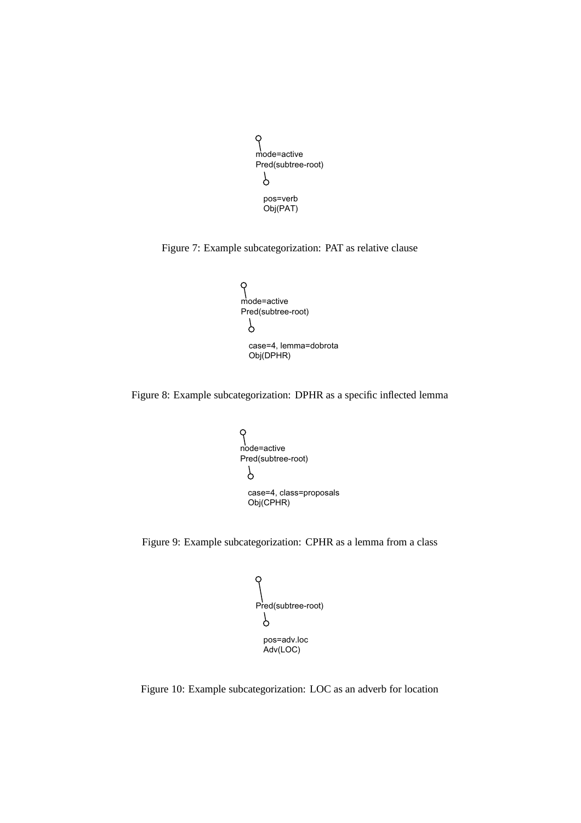```
9
mode=active
Pred(subtree-root)
 p
 pos=verb
 Obj(PAT)
```
Figure 7: Example subcategorization: PAT as relative clause



Figure 8: Example subcategorization: DPHR as a specific inflected lemma



Figure 9: Example subcategorization: CPHR as a lemma from a class



Figure 10: Example subcategorization: LOC as an adverb for location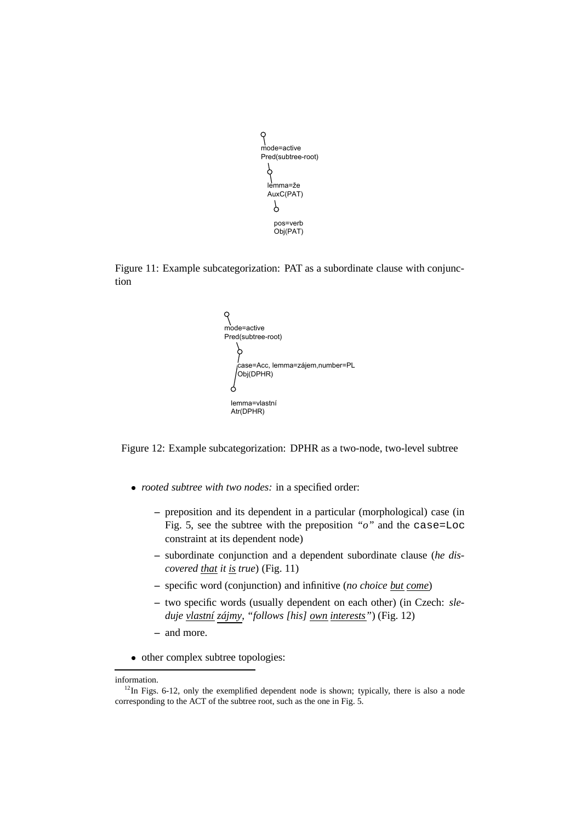

Figure 11: Example subcategorization: PAT as a subordinate clause with conjunction



Figure 12: Example subcategorization: DPHR as a two-node, two-level subtree

- *rooted subtree with two nodes:* in a specified order:
	- **–** preposition and its dependent in a particular (morphological) case (in Fig. 5, see the subtree with the preposition *"o"* and the case=Loc constraint at its dependent node)
	- **–** subordinate conjunction and a dependent subordinate clause (*he discovered that it is true*) (Fig. 11)
	- **–** specific word (conjunction) and infinitive (*no choice but come*)
	- **–** two specific words (usually dependent on each other) (in Czech: *sleduje vlastní zájmy*, *"follows [his] own interests"*) (Fig. 12)
	- **–** and more.
- other complex subtree topologies:

information.

 $12$ In Figs. 6-12, only the exemplified dependent node is shown; typically, there is also a node corresponding to the ACT of the subtree root, such as the one in Fig. 5.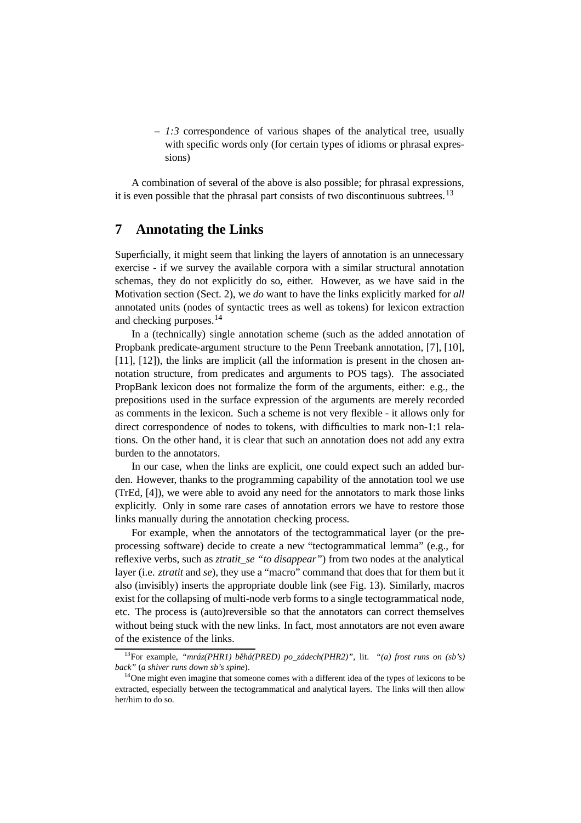**–** *1:3* correspondence of various shapes of the analytical tree, usually with specific words only (for certain types of idioms or phrasal expressions)

A combination of several of the above is also possible; for phrasal expressions, it is even possible that the phrasal part consists of two discontinuous subtrees.<sup>13</sup>

### **7 Annotating the Links**

Superficially, it might seem that linking the layers of annotation is an unnecessary exercise - if we survey the available corpora with a similar structural annotation schemas, they do not explicitly do so, either. However, as we have said in the Motivation section (Sect. 2), we *do* want to have the links explicitly marked for *all* annotated units (nodes of syntactic trees as well as tokens) for lexicon extraction and checking purposes.<sup>14</sup>

In a (technically) single annotation scheme (such as the added annotation of Propbank predicate-argument structure to the Penn Treebank annotation, [7], [10], [11], [12]), the links are implicit (all the information is present in the chosen annotation structure, from predicates and arguments to POS tags). The associated PropBank lexicon does not formalize the form of the arguments, either: e.g., the prepositions used in the surface expression of the arguments are merely recorded as comments in the lexicon. Such a scheme is not very flexible - it allows only for direct correspondence of nodes to tokens, with difficulties to mark non-1:1 relations. On the other hand, it is clear that such an annotation does not add any extra burden to the annotators.

In our case, when the links are explicit, one could expect such an added burden. However, thanks to the programming capability of the annotation tool we use (TrEd, [4]), we were able to avoid any need for the annotators to mark those links explicitly. Only in some rare cases of annotation errors we have to restore those links manually during the annotation checking process.

For example, when the annotators of the tectogrammatical layer (or the preprocessing software) decide to create a new "tectogrammatical lemma" (e.g., for reflexive verbs, such as *ztratit\_se "to disappear"*) from two nodes at the analytical layer (i.e. *ztratit* and *se*), they use a "macro" command that does that for them but it also (invisibly) inserts the appropriate double link (see Fig. 13). Similarly, macros exist for the collapsing of multi-node verb forms to a single tectogrammatical node, etc. The process is (auto)reversible so that the annotators can correct themselves without being stuck with the new links. In fact, most annotators are not even aware of the existence of the links.

<sup>13</sup>For example, *"mráz(PHR1) behá(PRED) ˇ po\_zádech(PHR2)"*, lit. *"(a) frost runs on (sb's) back"* (*a shiver runs down sb's spine*).

 $14$ One might even imagine that someone comes with a different idea of the types of lexicons to be extracted, especially between the tectogrammatical and analytical layers. The links will then allow her/him to do so.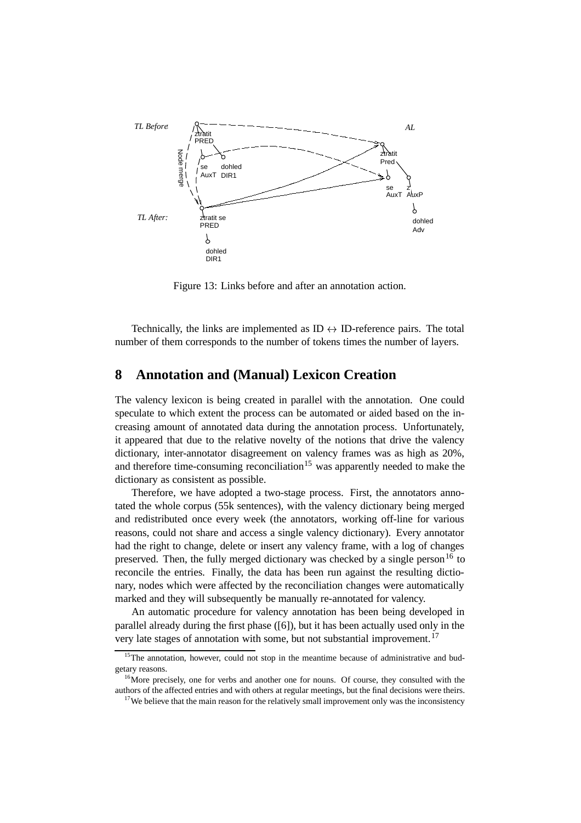

Figure 13: Links before and after an annotation action.

Technically, the links are implemented as  $ID \leftrightarrow ID$ -reference pairs. The total number of them corresponds to the number of tokens times the number of layers.

### **8 Annotation and (Manual) Lexicon Creation**

The valency lexicon is being created in parallel with the annotation. One could speculate to which extent the process can be automated or aided based on the increasing amount of annotated data during the annotation process. Unfortunately, it appeared that due to the relative novelty of the notions that drive the valency dictionary, inter-annotator disagreement on valency frames was as high as 20%, and therefore time-consuming reconciliation<sup>15</sup> was apparently needed to make the dictionary as consistent as possible.

Therefore, we have adopted a two-stage process. First, the annotators annotated the whole corpus (55k sentences), with the valency dictionary being merged and redistributed once every week (the annotators, working off-line for various reasons, could not share and access a single valency dictionary). Every annotator had the right to change, delete or insert any valency frame, with a log of changes preserved. Then, the fully merged dictionary was checked by a single person<sup>16</sup> to reconcile the entries. Finally, the data has been run against the resulting dictionary, nodes which were affected by the reconciliation changes were automatically marked and they will subsequently be manually re-annotated for valency.

An automatic procedure for valency annotation has been being developed in parallel already during the first phase ([6]), but it has been actually used only in the very late stages of annotation with some, but not substantial improvement.<sup>17</sup>

<sup>&</sup>lt;sup>15</sup>The annotation, however, could not stop in the meantime because of administrative and budgetary reasons.

<sup>&</sup>lt;sup>16</sup>More precisely, one for verbs and another one for nouns. Of course, they consulted with the authors of the affected entries and with others at regular meetings, but the final decisions were theirs.

<sup>&</sup>lt;sup>17</sup>We believe that the main reason for the relatively small improvement only was the inconsistency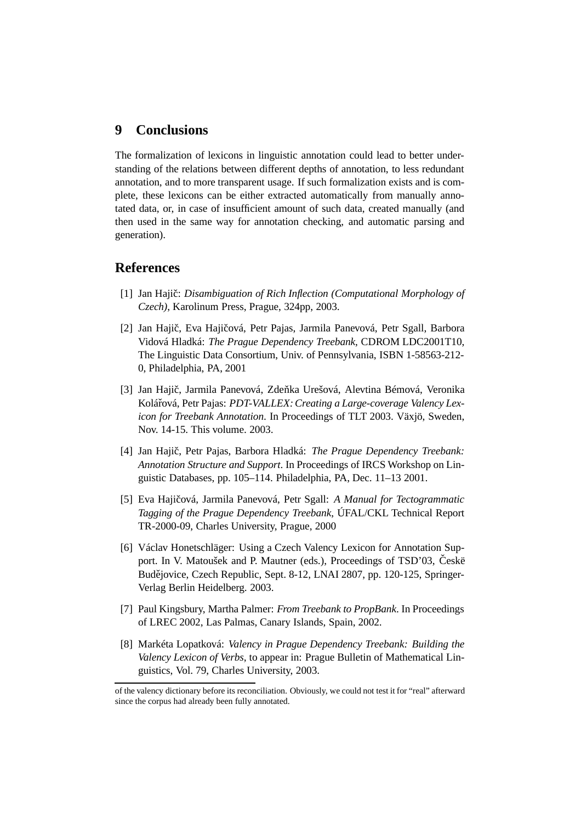### **9 Conclusions**

The formalization of lexicons in linguistic annotation could lead to better understanding of the relations between different depths of annotation, to less redundant annotation, and to more transparent usage. If such formalization exists and is complete, these lexicons can be either extracted automatically from manually annotated data, or, in case of insufficient amount of such data, created manually (and then used in the same way for annotation checking, and automatic parsing and generation).

#### **References**

- [1] Jan Hajic:ˇ *Disambiguation of Rich Inflection (Computational Morphology of Czech)*, Karolinum Press, Prague, 324pp, 2003.
- [2] Jan Hajič, Eva Hajičová, Petr Pajas, Jarmila Panevová, Petr Sgall, Barbora Vidová Hladká: *The Prague Dependency Treebank*, CDROM LDC2001T10, The Linguistic Data Consortium, Univ. of Pennsylvania, ISBN 1-58563-212- 0, Philadelphia, PA, 2001
- [3] Jan Hajič, Jarmila Panevová, Zdeňka Urešová, Alevtina Bémová, Veronika Koláˇrová, Petr Pajas: *PDT-VALLEX:Creating a Large-coverage Valency Lexicon for Treebank Annotation*. In Proceedings of TLT 2003. Växjö, Sweden, Nov. 14-15. This volume. 2003.
- [4] Jan Hajic,ˇ Petr Pajas, Barbora Hladká: *The Prague Dependency Treebank: Annotation Structure and Support*. In Proceedings of IRCS Workshop on Linguistic Databases, pp. 105–114. Philadelphia, PA, Dec. 11–13 2001.
- [5] Eva Hajicoˇ vá, Jarmila Panevová, Petr Sgall: *A Manual for Tectogrammatic Tagging of the Prague Dependency Treebank*, ÚFAL/CKL Technical Report TR-2000-09, Charles University, Prague, 2000
- [6] Václav Honetschläger: Using a Czech Valency Lexicon for Annotation Support. In V. Matoušek and P. Mautner (eds.), Proceedings of TSD'03, Českë Budějovice, Czech Republic, Sept. 8-12, LNAI 2807, pp. 120-125, Springer-Verlag Berlin Heidelberg. 2003.
- [7] Paul Kingsbury, Martha Palmer: *From Treebank to PropBank*. In Proceedings of LREC 2002, Las Palmas, Canary Islands, Spain, 2002.
- [8] Markéta Lopatková: *Valency in Prague Dependency Treebank: Building the Valency Lexicon of Verbs*, to appear in: Prague Bulletin of Mathematical Linguistics, Vol. 79, Charles University, 2003.

of the valency dictionary before its reconciliation. Obviously, we could not test it for "real" afterward since the corpus had already been fully annotated.